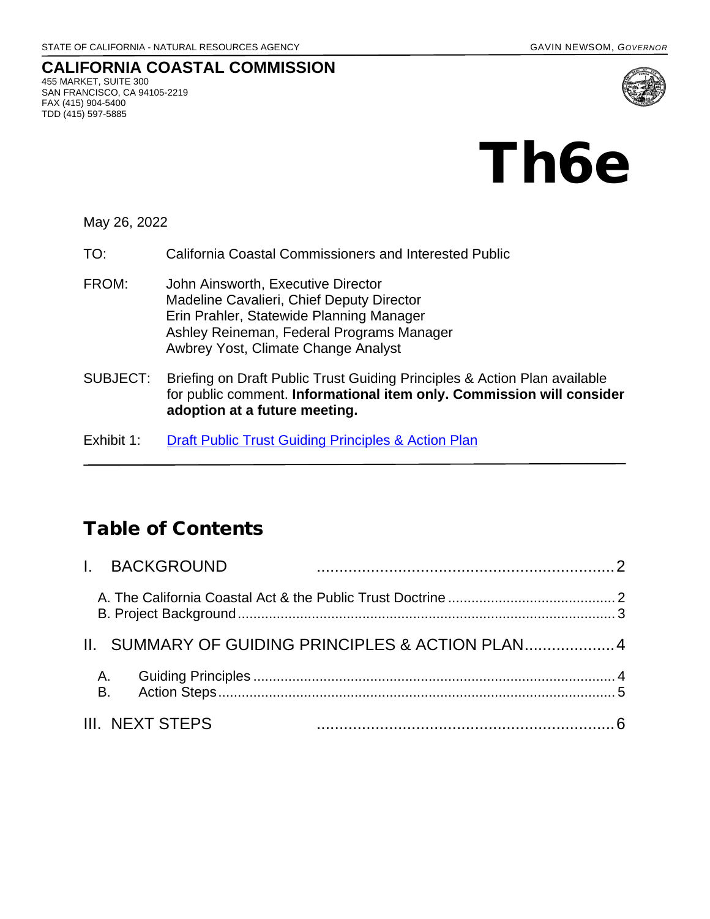#### **CALIFORNIA COASTAL COMMISSION** 455 MARKET, SUITE 300 SAN FRANCISCO, CA 94105-2219 FAX (415) 904-5400 TDD (415) 597-5885



May 26, 2022

- TO: California Coastal Commissioners and Interested Public
- FROM: John Ainsworth, Executive Director Madeline Cavalieri, Chief Deputy Director Erin Prahler, Statewide Planning Manager Ashley Reineman, Federal Programs Manager Awbrey Yost, Climate Change Analyst
- SUBJECT: Briefing on Draft Public Trust Guiding Principles & Action Plan available for public comment. **Informational item only. Commission will consider adoption at a future meeting.**
- Exhibit 1: Draft Public Trust Guiding Principles & Action Plan

## Table of Contents

| I. BACKGROUND   |                                                  |
|-----------------|--------------------------------------------------|
|                 |                                                  |
|                 | II. SUMMARY OF GUIDING PRINCIPLES & ACTION PLAN4 |
|                 |                                                  |
| III. NEXT STEPS |                                                  |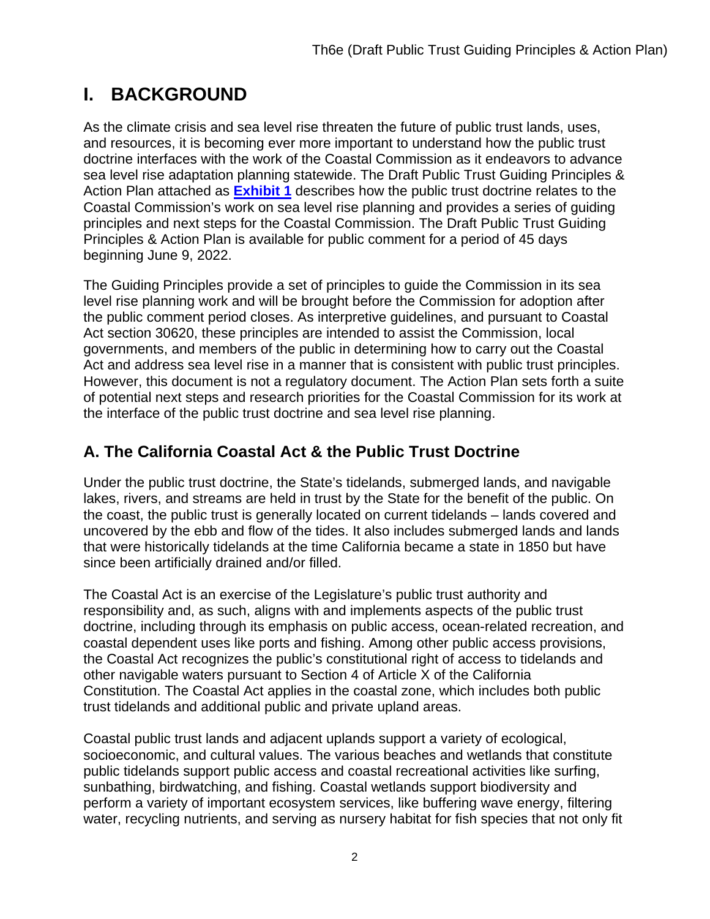# <span id="page-1-0"></span>**I. BACKGROUND**

As the climate crisis and sea level rise threaten the future of public trust lands, uses, and resources, it is becoming ever more important to understand how the public trust doctrine interfaces with the work of the Coastal Commission as it endeavors to advance sea level rise adaptation planning statewide. The Draft Public Trust Guiding Principles & Action Plan attached as **[Exhibit 1](https://documents.coastal.ca.gov/reports/2022/6/Th6e/Th6e-6-2022-exhibits.pdf)** describes how the public trust doctrine relates to the Coastal Commission's work on sea level rise planning and provides a series of guiding principles and next steps for the Coastal Commission. The Draft Public Trust Guiding Principles & Action Plan is available for public comment for a period of 45 days beginning June 9, 2022.

The Guiding Principles provide a set of principles to guide the Commission in its sea level rise planning work and will be brought before the Commission for adoption after the public comment period closes. As interpretive guidelines, and pursuant to Coastal Act section 30620, these principles are intended to assist the Commission, local governments, and members of the public in determining how to carry out the Coastal Act and address sea level rise in a manner that is consistent with public trust principles. However, this document is not a regulatory document. The Action Plan sets forth a suite of potential next steps and research priorities for the Coastal Commission for its work at the interface of the public trust doctrine and sea level rise planning.

#### <span id="page-1-1"></span>**A. The California Coastal Act & the Public Trust Doctrine**

Under the public trust doctrine, the State's tidelands, submerged lands, and navigable lakes, rivers, and streams are held in trust by the State for the benefit of the public. On the coast, the public trust is generally located on current tidelands – lands covered and uncovered by the ebb and flow of the tides. It also includes submerged lands and lands that were historically tidelands at the time California became a state in 1850 but have since been artificially drained and/or filled.

The Coastal Act is an exercise of the Legislature's public trust authority and responsibility and, as such, aligns with and implements aspects of the public trust doctrine, including through its emphasis on public access, ocean-related recreation, and coastal dependent uses like ports and fishing. Among other public access provisions, the Coastal Act recognizes the public's constitutional right of access to tidelands and other navigable waters pursuant to Section 4 of Article X of the California Constitution. The Coastal Act applies in the coastal zone, which includes both public trust tidelands and additional public and private upland areas.

Coastal public trust lands and adjacent uplands support a variety of ecological, socioeconomic, and cultural values. The various beaches and wetlands that constitute public tidelands support public access and coastal recreational activities like surfing, sunbathing, birdwatching, and fishing. Coastal wetlands support biodiversity and perform a variety of important ecosystem services, like buffering wave energy, filtering water, recycling nutrients, and serving as nursery habitat for fish species that not only fit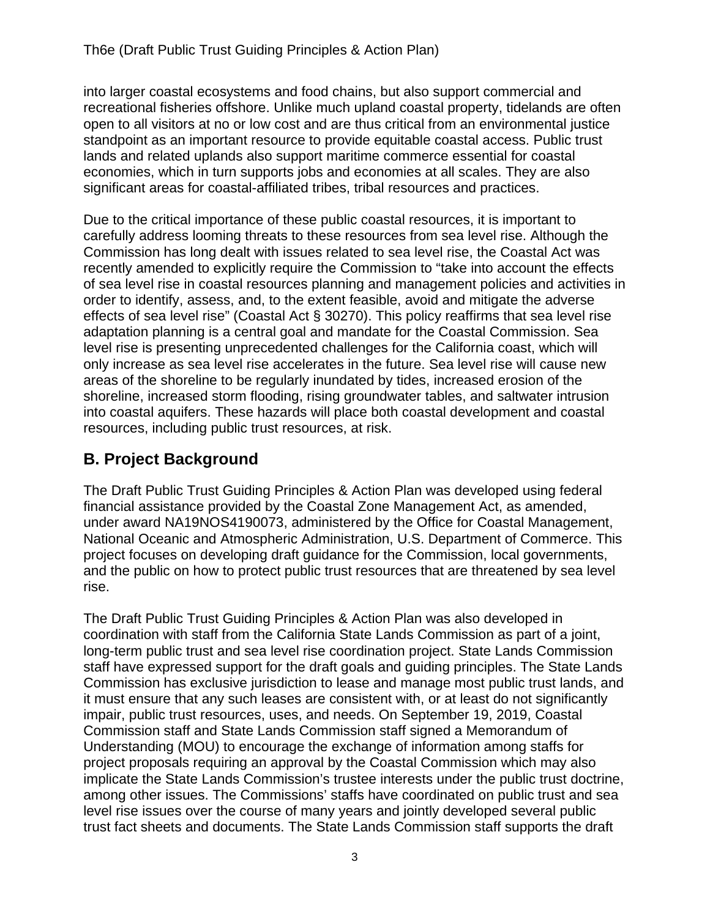into larger coastal ecosystems and food chains, but also support commercial and recreational fisheries offshore. Unlike much upland coastal property, tidelands are often open to all visitors at no or low cost and are thus critical from an environmental justice standpoint as an important resource to provide equitable coastal access. Public trust lands and related uplands also support maritime commerce essential for coastal economies, which in turn supports jobs and economies at all scales. They are also significant areas for coastal-affiliated tribes, tribal resources and practices.

Due to the critical importance of these public coastal resources, it is important to carefully address looming threats to these resources from sea level rise. Although the Commission has long dealt with issues related to sea level rise, the Coastal Act was recently amended to explicitly require the Commission to "take into account the effects of sea level rise in coastal resources planning and management policies and activities in order to identify, assess, and, to the extent feasible, avoid and mitigate the adverse effects of sea level rise" (Coastal Act § 30270). This policy reaffirms that sea level rise adaptation planning is a central goal and mandate for the Coastal Commission. Sea level rise is presenting unprecedented challenges for the California coast, which will only increase as sea level rise accelerates in the future. Sea level rise will cause new areas of the shoreline to be regularly inundated by tides, increased erosion of the shoreline, increased storm flooding, rising groundwater tables, and saltwater intrusion into coastal aquifers. These hazards will place both coastal development and coastal resources, including public trust resources, at risk.

#### <span id="page-2-0"></span>**B. Project Background**

The Draft Public Trust Guiding Principles & Action Plan was developed using federal financial assistance provided by the Coastal Zone Management Act, as amended, under award NA19NOS4190073, administered by the Office for Coastal Management, National Oceanic and Atmospheric Administration, U.S. Department of Commerce. This project focuses on developing draft guidance for the Commission, local governments, and the public on how to protect public trust resources that are threatened by sea level rise.

The Draft Public Trust Guiding Principles & Action Plan was also developed in coordination with staff from the California State Lands Commission as part of a joint, long-term public trust and sea level rise coordination project. State Lands Commission staff have expressed support for the draft goals and guiding principles. The State Lands Commission has exclusive jurisdiction to lease and manage most public trust lands, and it must ensure that any such leases are consistent with, or at least do not significantly impair, public trust resources, uses, and needs. On September 19, 2019, Coastal Commission staff and State Lands Commission staff signed a Memorandum of Understanding (MOU) to encourage the exchange of information among staffs for project proposals requiring an approval by the Coastal Commission which may also implicate the State Lands Commission's trustee interests under the public trust doctrine, among other issues. The Commissions' staffs have coordinated on public trust and sea level rise issues over the course of many years and jointly developed several public trust fact sheets and documents. The State Lands Commission staff supports the draft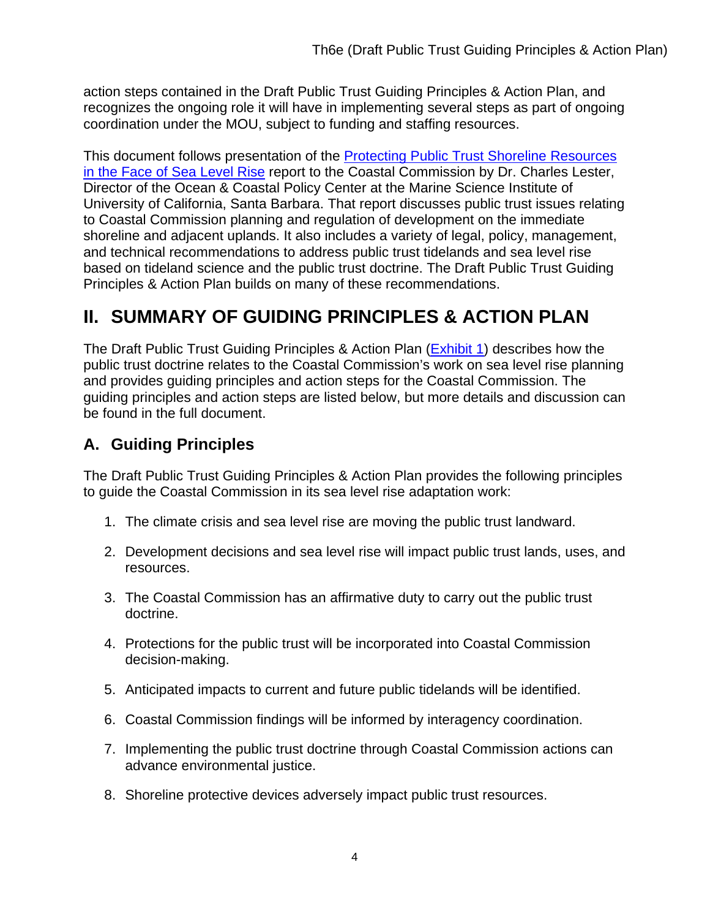action steps contained in the Draft Public Trust Guiding Principles & Action Plan, and recognizes the ongoing role it will have in implementing several steps as part of ongoing coordination under the MOU, subject to funding and staffing resources.

This document follows presentation of the **Protecting Public Trust Shoreline Resources** [in the Face of Sea Level Rise](https://documents.coastal.ca.gov/assets/slr/Lester%20Prot%20Public%20Trust%20Res%20Face%20of%20SLR.pdf) report to the Coastal Commission by Dr. Charles Lester, Director of the Ocean & Coastal Policy Center at the Marine Science Institute of University of California, Santa Barbara. That report discusses public trust issues relating to Coastal Commission planning and regulation of development on the immediate shoreline and adjacent uplands. It also includes a variety of legal, policy, management, and technical recommendations to address public trust tidelands and sea level rise based on tideland science and the public trust doctrine. The Draft Public Trust Guiding Principles & Action Plan builds on many of these recommendations.

# <span id="page-3-0"></span>**II. SUMMARY OF GUIDING PRINCIPLES & ACTION PLAN**

The Draft Public Trust Guiding Principles & Action Plan (**Exhibit 1**) describes how the public trust doctrine relates to the Coastal Commission's work on sea level rise planning and provides guiding principles and action steps for the Coastal Commission. The guiding principles and action steps are listed below, but more details and discussion can be found in the full document.

### <span id="page-3-1"></span>**A. Guiding Principles**

The Draft Public Trust Guiding Principles & Action Plan provides the following principles to guide the Coastal Commission in its sea level rise adaptation work:

- 1. The climate crisis and sea level rise are moving the public trust landward.
- 2. Development decisions and sea level rise will impact public trust lands, uses, and resources.
- 3. The Coastal Commission has an affirmative duty to carry out the public trust doctrine.
- 4. Protections for the public trust will be incorporated into Coastal Commission decision-making.
- 5. Anticipated impacts to current and future public tidelands will be identified.
- 6. Coastal Commission findings will be informed by interagency coordination.
- 7. Implementing the public trust doctrine through Coastal Commission actions can advance environmental justice.
- 8. Shoreline protective devices adversely impact public trust resources.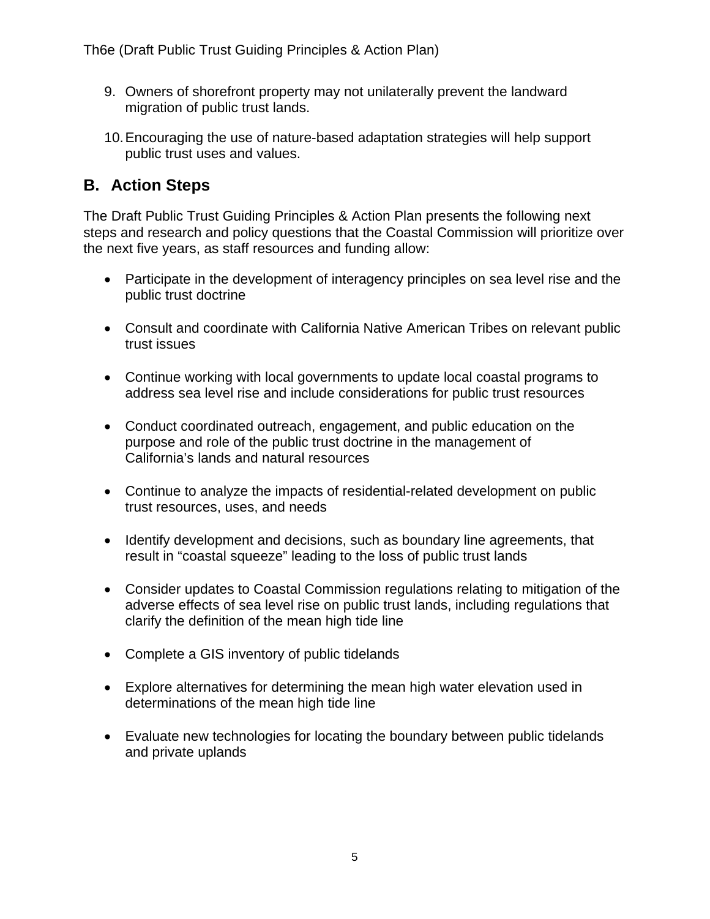- 9. Owners of shorefront property may not unilaterally prevent the landward migration of public trust lands.
- 10.Encouraging the use of nature-based adaptation strategies will help support public trust uses and values.

#### <span id="page-4-0"></span>**B. Action Steps**

The Draft Public Trust Guiding Principles & Action Plan presents the following next steps and research and policy questions that the Coastal Commission will prioritize over the next five years, as staff resources and funding allow:

- Participate in the development of interagency principles on sea level rise and the public trust doctrine
- Consult and coordinate with California Native American Tribes on relevant public trust issues
- Continue working with local governments to update local coastal programs to address sea level rise and include considerations for public trust resources
- Conduct coordinated outreach, engagement, and public education on the purpose and role of the public trust doctrine in the management of California's lands and natural resources
- Continue to analyze the impacts of residential-related development on public trust resources, uses, and needs
- Identify development and decisions, such as boundary line agreements, that result in "coastal squeeze" leading to the loss of public trust lands
- Consider updates to Coastal Commission regulations relating to mitigation of the adverse effects of sea level rise on public trust lands, including regulations that clarify the definition of the mean high tide line
- Complete a GIS inventory of public tidelands
- Explore alternatives for determining the mean high water elevation used in determinations of the mean high tide line
- Evaluate new technologies for locating the boundary between public tidelands and private uplands